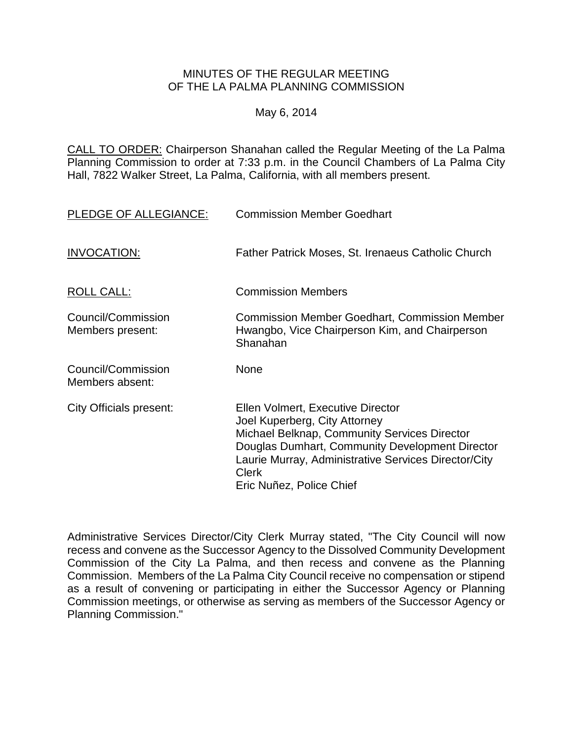## MINUTES OF THE REGULAR MEETING OF THE LA PALMA PLANNING COMMISSION

# May 6, 2014

CALL TO ORDER: Chairperson [Shanahan called the Regular Meeting of the La Palma](http://lapalma.granicus.com/MediaPlayerFrameHandler.php?view_id=&clip_id=824&meta_id=108821)  Planning Commission to order at 7:33 [p.m. in the Council Chambers of La Palma City](http://lapalma.granicus.com/MediaPlayerFrameHandler.php?view_id=&clip_id=824&meta_id=108821)  [Hall, 7822 Walker Street, La Palma, California, with all members present.](http://lapalma.granicus.com/MediaPlayerFrameHandler.php?view_id=&clip_id=824&meta_id=108821)

| PLEDGE OF ALLEGIANCE:                  | <b>Commission Member Goedhart</b>                                                                                                                                                                                                                                         |
|----------------------------------------|---------------------------------------------------------------------------------------------------------------------------------------------------------------------------------------------------------------------------------------------------------------------------|
| INVOCATION:                            | Father Patrick Moses, St. Irenaeus Catholic Church                                                                                                                                                                                                                        |
| ROLL CALL:                             | <b>Commission Members</b>                                                                                                                                                                                                                                                 |
| Council/Commission<br>Members present: | <b>Commission Member Goedhart, Commission Member</b><br>Hwangbo, Vice Chairperson Kim, and Chairperson<br>Shanahan                                                                                                                                                        |
| Council/Commission<br>Members absent:  | None                                                                                                                                                                                                                                                                      |
| City Officials present:                | Ellen Volmert, Executive Director<br>Joel Kuperberg, City Attorney<br>Michael Belknap, Community Services Director<br>Douglas Dumhart, Community Development Director<br>Laurie Murray, Administrative Services Director/City<br><b>Clerk</b><br>Eric Nuñez, Police Chief |

Administrative Services Director/City Clerk Murray stated, "The City Council will now recess and convene as the Successor Agency to the Dissolved Community Development Commission of the City La Palma, and then recess and convene as the Planning Commission. Members of the La Palma City Council receive no compensation or stipend as a result of convening or participating in either the Successor Agency or Planning Commission meetings, or otherwise as serving as members of the Successor Agency or Planning Commission."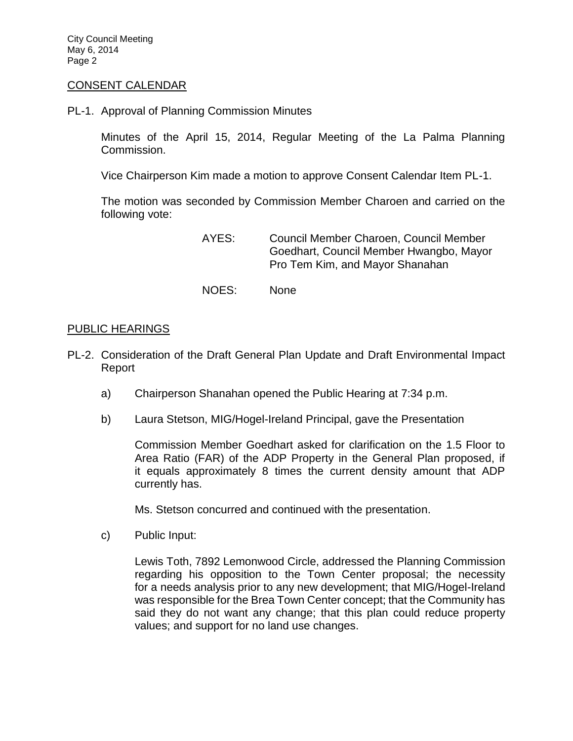City Council Meeting May 6, 2014 Page 2

#### [CONSENT CALENDAR](http://lapalma.granicus.com/MediaPlayerFrameHandler.php?view_id=&clip_id=824&meta_id=108844)

PL-1. Approval of Planning Commission Minutes

Minutes of the April 15, 2014, Regular Meeting of the La Palma Planning Commission.

Vice Chairperson Kim made a motion to approve Consent Calendar Item PL-1.

The motion was seconded by Commission Member Charoen and carried on the following vote:

> AYES: Council Member Charoen, Council Member Goedhart, Council Member Hwangbo, Mayor Pro Tem Kim, and Mayor Shanahan

NOES: None

#### [PUBLIC HEARINGS](http://lapalma.granicus.com/MediaPlayerFrameHandler.php?view_id=&clip_id=824&meta_id=108847)

- PL-2. [Consideration of the Draft General Plan Update and Draft Environmental Impact](http://lapalma.granicus.com/MediaPlayerFrameHandler.php?view_id=&clip_id=824&meta_id=108848)  [Report](http://lapalma.granicus.com/MediaPlayerFrameHandler.php?view_id=&clip_id=824&meta_id=108848)
	- a) [Chairperson Shanahan opened the Public Hearing at 7:34 p.m.](http://lapalma.granicus.com/MediaPlayerFrameHandler.php?view_id=&clip_id=824&meta_id=108849)
	- b) [Laura Stetson, MIG/Hogel-Ireland Principal, gave the Presentation](http://lapalma.granicus.com/MediaPlayerFrameHandler.php?view_id=&clip_id=824&meta_id=108855)

Commission Member Goedhart asked for clarification on the 1.5 Floor to Area Ratio (FAR) of the ADP Property in the General Plan proposed, if it equals approximately 8 times the current density amount that ADP currently has.

Ms. Stetson concurred and continued with the presentation.

c) [Public Input:](http://lapalma.granicus.com/MediaPlayerFrameHandler.php?view_id=&clip_id=824&meta_id=108851)

Lewis Toth, 7892 Lemonwood Circle, addressed the Planning Commission regarding his opposition to the Town Center proposal; the necessity for a needs analysis prior to any new development; that MIG/Hogel-Ireland was responsible for the Brea Town Center concept; that the Community has said they do not want any change; that this plan could reduce property values; and support for no land use changes.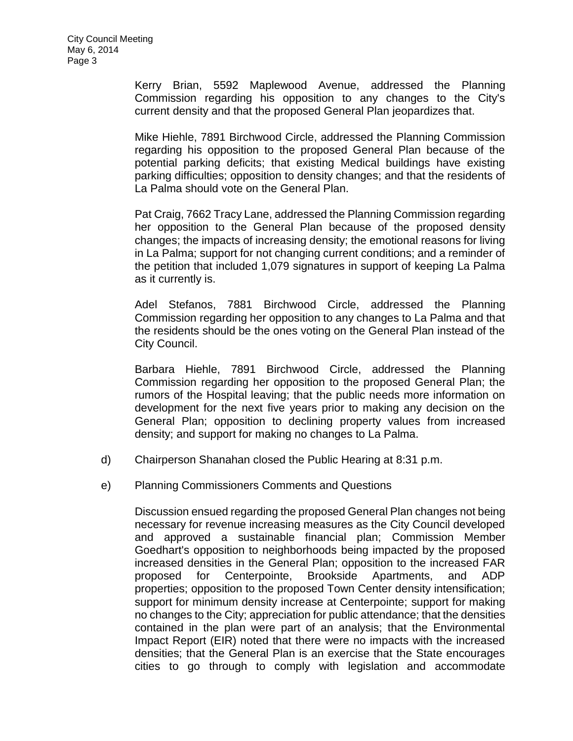Kerry Brian, 5592 Maplewood Avenue, addressed the Planning Commission regarding his opposition to any changes to the City's current density and that the proposed General Plan jeopardizes that.

Mike Hiehle, 7891 Birchwood Circle, addressed the Planning Commission regarding his opposition to the proposed General Plan because of the potential parking deficits; that existing Medical buildings have existing parking difficulties; opposition to density changes; and that the residents of La Palma should vote on the General Plan.

Pat Craig, 7662 Tracy Lane, addressed the Planning Commission regarding her opposition to the General Plan because of the proposed density changes; the impacts of increasing density; the emotional reasons for living in La Palma; support for not changing current conditions; and a reminder of the petition that included 1,079 signatures in support of keeping La Palma as it currently is.

Adel Stefanos, 7881 Birchwood Circle, addressed the Planning Commission regarding her opposition to any changes to La Palma and that the residents should be the ones voting on the General Plan instead of the City Council.

Barbara Hiehle, 7891 Birchwood Circle, addressed the Planning Commission regarding her opposition to the proposed General Plan; the rumors of the Hospital leaving; that the public needs more information on development for the next five years prior to making any decision on the General Plan; opposition to declining property values from increased density; and support for making no changes to La Palma.

- d) [Chairperson Shanahan closed the Public Hearing at 8:31 p.m.](http://lapalma.granicus.com/MediaPlayerFrameHandler.php?view_id=&clip_id=824&meta_id=108852)
- e) [Planning Commissioners Comments and Questions](http://lapalma.granicus.com/MediaPlayerFrameHandler.php?view_id=&clip_id=824&meta_id=108853)

Discussion ensued regarding the proposed General Plan changes not being necessary for revenue increasing measures as the City Council developed and approved a sustainable financial plan; Commission Member Goedhart's opposition to neighborhoods being impacted by the proposed increased densities in the General Plan; opposition to the increased FAR proposed for Centerpointe, Brookside Apartments, and ADP properties; opposition to the proposed Town Center density intensification; support for minimum density increase at Centerpointe; support for making no changes to the City; appreciation for public attendance; that the densities contained in the plan were part of an analysis; that the Environmental Impact Report (EIR) noted that there were no impacts with the increased densities; that the General Plan is an exercise that the State encourages cities to go through to comply with legislation and accommodate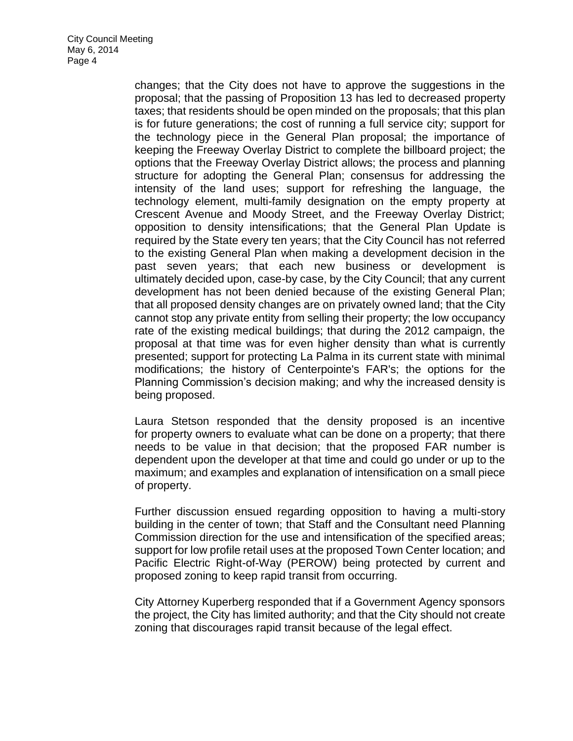changes; that the City does not have to approve the suggestions in the proposal; that the passing of Proposition 13 has led to decreased property taxes; that residents should be open minded on the proposals; that this plan is for future generations; the cost of running a full service city; support for the technology piece in the General Plan proposal; the importance of keeping the Freeway Overlay District to complete the billboard project; the options that the Freeway Overlay District allows; the process and planning structure for adopting the General Plan; consensus for addressing the intensity of the land uses; support for refreshing the language, the technology element, multi-family designation on the empty property at Crescent Avenue and Moody Street, and the Freeway Overlay District; opposition to density intensifications; that the General Plan Update is required by the State every ten years; that the City Council has not referred to the existing General Plan when making a development decision in the past seven years; that each new business or development is ultimately decided upon, case-by case, by the City Council; that any current development has not been denied because of the existing General Plan; that all proposed density changes are on privately owned land; that the City cannot stop any private entity from selling their property; the low occupancy rate of the existing medical buildings; that during the 2012 campaign, the proposal at that time was for even higher density than what is currently presented; support for protecting La Palma in its current state with minimal modifications; the history of Centerpointe's FAR's; the options for the Planning Commission's decision making; and why the increased density is being proposed.

Laura Stetson responded that the density proposed is an incentive for property owners to evaluate what can be done on a property; that there needs to be value in that decision; that the proposed FAR number is dependent upon the developer at that time and could go under or up to the maximum; and examples and explanation of intensification on a small piece of property.

Further discussion ensued regarding opposition to having a multi-story building in the center of town; that Staff and the Consultant need Planning Commission direction for the use and intensification of the specified areas; support for low profile retail uses at the proposed Town Center location; and Pacific Electric Right-of-Way (PEROW) being protected by current and proposed zoning to keep rapid transit from occurring.

City Attorney Kuperberg responded that if a Government Agency sponsors the project, the City has limited authority; and that the City should not create zoning that discourages rapid transit because of the legal effect.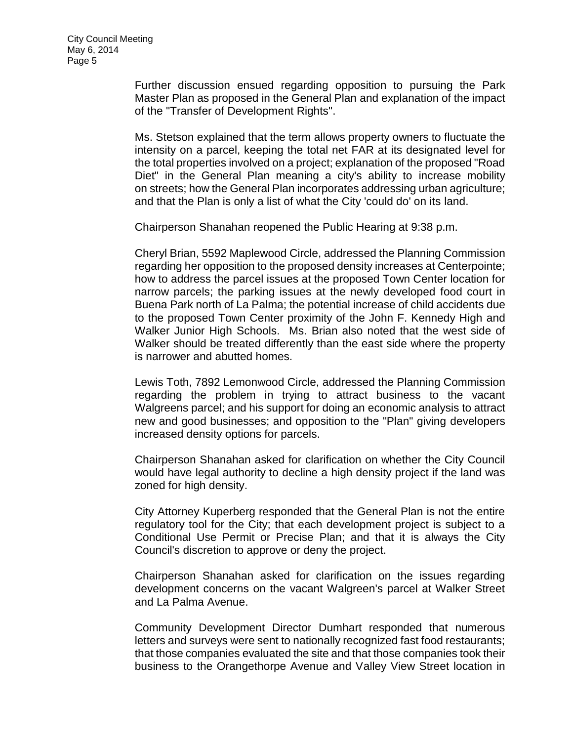Further discussion ensued regarding opposition to pursuing the Park Master Plan as proposed in the General Plan and explanation of the impact of the "Transfer of Development Rights".

Ms. Stetson explained that the term allows property owners to fluctuate the intensity on a parcel, keeping the total net FAR at its designated level for the total properties involved on a project; explanation of the proposed "Road Diet" in the General Plan meaning a city's ability to increase mobility on streets; how the General Plan incorporates addressing urban agriculture; and that the Plan is only a list of what the City 'could do' on its land.

Chairperson Shanahan reopened the Public Hearing at 9:38 p.m.

Cheryl Brian, 5592 Maplewood Circle, addressed the Planning Commission regarding her opposition to the proposed density increases at Centerpointe; how to address the parcel issues at the proposed Town Center location for narrow parcels; the parking issues at the newly developed food court in Buena Park north of La Palma; the potential increase of child accidents due to the proposed Town Center proximity of the John F. Kennedy High and Walker Junior High Schools. Ms. Brian also noted that the west side of Walker should be treated differently than the east side where the property is narrower and abutted homes.

Lewis Toth, 7892 Lemonwood Circle, addressed the Planning Commission regarding the problem in trying to attract business to the vacant Walgreens parcel; and his support for doing an economic analysis to attract new and good businesses; and opposition to the "Plan" giving developers increased density options for parcels.

Chairperson Shanahan asked for clarification on whether the City Council would have legal authority to decline a high density project if the land was zoned for high density.

City Attorney Kuperberg responded that the General Plan is not the entire regulatory tool for the City; that each development project is subject to a Conditional Use Permit or Precise Plan; and that it is always the City Council's discretion to approve or deny the project.

Chairperson Shanahan asked for clarification on the issues regarding development concerns on the vacant Walgreen's parcel at Walker Street and La Palma Avenue.

Community Development Director Dumhart responded that numerous letters and surveys were sent to nationally recognized fast food restaurants; that those companies evaluated the site and that those companies took their business to the Orangethorpe Avenue and Valley View Street location in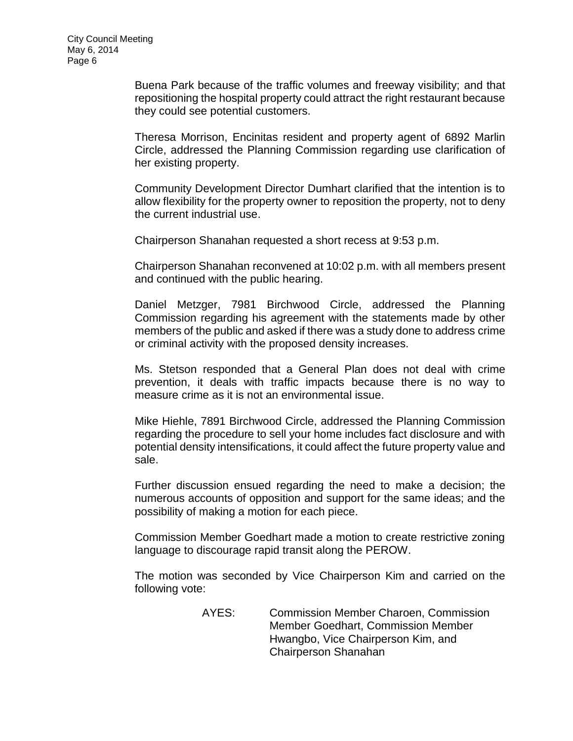Buena Park because of the traffic volumes and freeway visibility; and that repositioning the hospital property could attract the right restaurant because they could see potential customers.

Theresa Morrison, Encinitas resident and property agent of 6892 Marlin Circle, addressed the Planning Commission regarding use clarification of her existing property.

Community Development Director Dumhart clarified that the intention is to allow flexibility for the property owner to reposition the property, not to deny the current industrial use.

Chairperson Shanahan requested a short recess at 9:53 p.m.

Chairperson Shanahan reconvened at 10:02 p.m. with all members present and continued with the public hearing.

Daniel Metzger, 7981 Birchwood Circle, addressed the Planning Commission regarding his agreement with the statements made by other members of the public and asked if there was a study done to address crime or criminal activity with the proposed density increases.

Ms. Stetson responded that a General Plan does not deal with crime prevention, it deals with traffic impacts because there is no way to measure crime as it is not an environmental issue.

Mike Hiehle, 7891 Birchwood Circle, addressed the Planning Commission regarding the procedure to sell your home includes fact disclosure and with potential density intensifications, it could affect the future property value and sale.

Further discussion ensued regarding the need to make a decision; the numerous accounts of opposition and support for the same ideas; and the possibility of making a motion for each piece.

Commission Member Goedhart made a motion to create restrictive zoning language to discourage rapid transit along the PEROW.

The motion was seconded by Vice Chairperson Kim and carried on the following vote:

> AYES: Commission Member Charoen, Commission Member Goedhart, Commission Member Hwangbo, Vice Chairperson Kim, and Chairperson Shanahan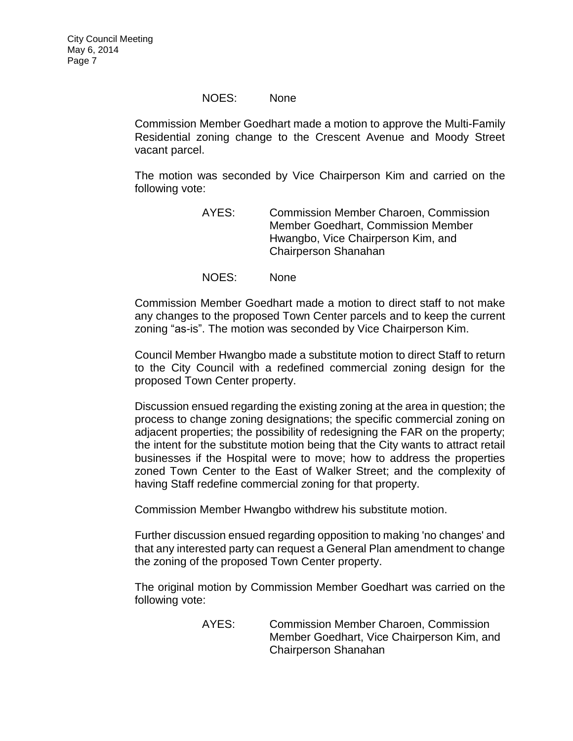### NOES: None

Commission Member Goedhart made a motion to approve the Multi-Family Residential zoning change to the Crescent Avenue and Moody Street vacant parcel.

The motion was seconded by Vice Chairperson Kim and carried on the following vote:

- AYES: Commission Member Charoen, Commission Member Goedhart, Commission Member Hwangbo, Vice Chairperson Kim, and Chairperson Shanahan
- NOES: None

Commission Member Goedhart made a motion to direct staff to not make any changes to the proposed Town Center parcels and to keep the current zoning "as-is". The motion was seconded by Vice Chairperson Kim.

Council Member Hwangbo made a substitute motion to direct Staff to return to the City Council with a redefined commercial zoning design for the proposed Town Center property.

Discussion ensued regarding the existing zoning at the area in question; the process to change zoning designations; the specific commercial zoning on adjacent properties; the possibility of redesigning the FAR on the property; the intent for the substitute motion being that the City wants to attract retail businesses if the Hospital were to move; how to address the properties zoned Town Center to the East of Walker Street; and the complexity of having Staff redefine commercial zoning for that property.

Commission Member Hwangbo withdrew his substitute motion.

Further discussion ensued regarding opposition to making 'no changes' and that any interested party can request a General Plan amendment to change the zoning of the proposed Town Center property.

The original motion by Commission Member Goedhart was carried on the following vote:

> AYES: Commission Member Charoen, Commission Member Goedhart, Vice Chairperson Kim, and Chairperson Shanahan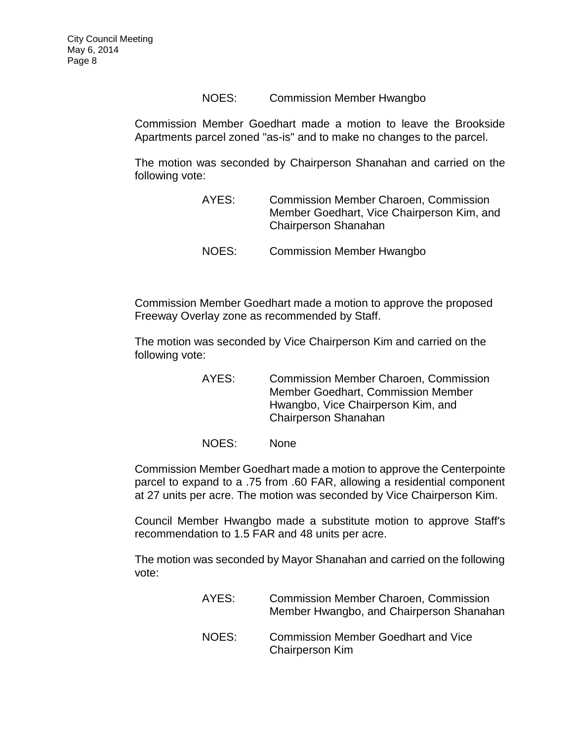## NOES: Commission Member Hwangbo

Commission Member Goedhart made a motion to leave the Brookside Apartments parcel zoned "as-is" and to make no changes to the parcel.

The motion was seconded by Chairperson Shanahan and carried on the following vote:

| AYES: | <b>Commission Member Charoen, Commission</b><br>Member Goedhart, Vice Chairperson Kim, and<br><b>Chairperson Shanahan</b> |
|-------|---------------------------------------------------------------------------------------------------------------------------|
| NOES: | <b>Commission Member Hwangbo</b>                                                                                          |

Commission Member Goedhart made a motion to approve the proposed Freeway Overlay zone as recommended by Staff.

The motion was seconded by Vice Chairperson Kim and carried on the following vote:

> AYES: Commission Member Charoen, Commission Member Goedhart, Commission Member Hwangbo, Vice Chairperson Kim, and Chairperson Shanahan

NOES: None

Commission Member Goedhart made a motion to approve the Centerpointe parcel to expand to a .75 from .60 FAR, allowing a residential component at 27 units per acre. The motion was seconded by Vice Chairperson Kim.

Council Member Hwangbo made a substitute motion to approve Staff's recommendation to 1.5 FAR and 48 units per acre.

The motion was seconded by Mayor Shanahan and carried on the following vote:

| AYES: | <b>Commission Member Charoen, Commission</b><br>Member Hwangbo, and Chairperson Shanahan |
|-------|------------------------------------------------------------------------------------------|
| NOES: | <b>Commission Member Goedhart and Vice</b><br><b>Chairperson Kim</b>                     |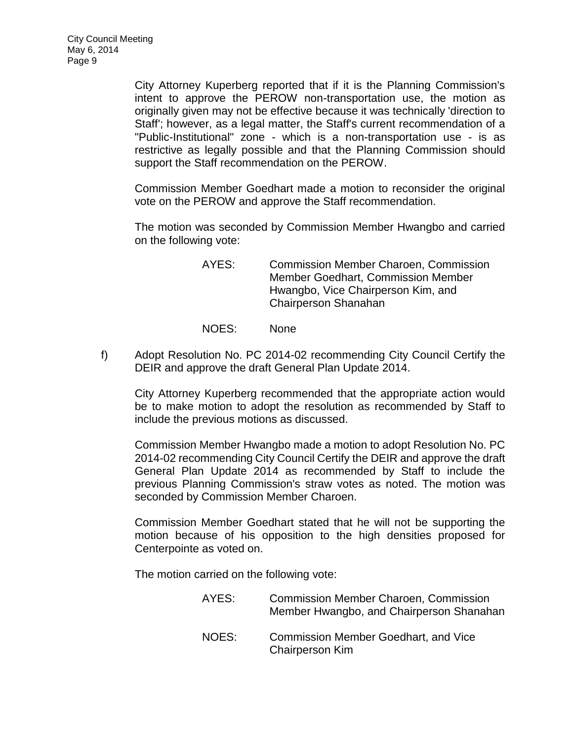City Attorney Kuperberg reported that if it is the Planning Commission's intent to approve the PEROW non-transportation use, the motion as originally given may not be effective because it was technically 'direction to Staff'; however, as a legal matter, the Staff's current recommendation of a "Public-Institutional" zone - which is a non-transportation use - is as restrictive as legally possible and that the Planning Commission should support the Staff recommendation on the PEROW.

Commission Member Goedhart made a motion to reconsider the original vote on the PEROW and approve the Staff recommendation.

The motion was seconded by Commission Member Hwangbo and carried on the following vote:

- AYES: Commission Member Charoen, Commission Member Goedhart, Commission Member Hwangbo, Vice Chairperson Kim, and Chairperson Shanahan
- NOES: None
- f) Adopt Resolution No. PC 2014-02 recommending City Council Certify the DEIR and approve the draft General Plan Update 2014.

City Attorney Kuperberg recommended that the appropriate action would be to make motion to adopt the resolution as recommended by Staff to include the previous motions as discussed.

Commission Member Hwangbo made a motion to adopt Resolution No. PC 2014-02 recommending City Council Certify the DEIR and approve the draft General Plan Update 2014 as recommended by Staff to include the previous Planning Commission's straw votes as noted. The motion was seconded by Commission Member Charoen.

Commission Member Goedhart stated that he will not be supporting the motion because of his opposition to the high densities proposed for Centerpointe as voted on.

The motion carried on the following vote:

| AYES: | <b>Commission Member Charoen, Commission</b><br>Member Hwangbo, and Chairperson Shanahan |
|-------|------------------------------------------------------------------------------------------|
| NOES: | <b>Commission Member Goedhart, and Vice</b><br><b>Chairperson Kim</b>                    |